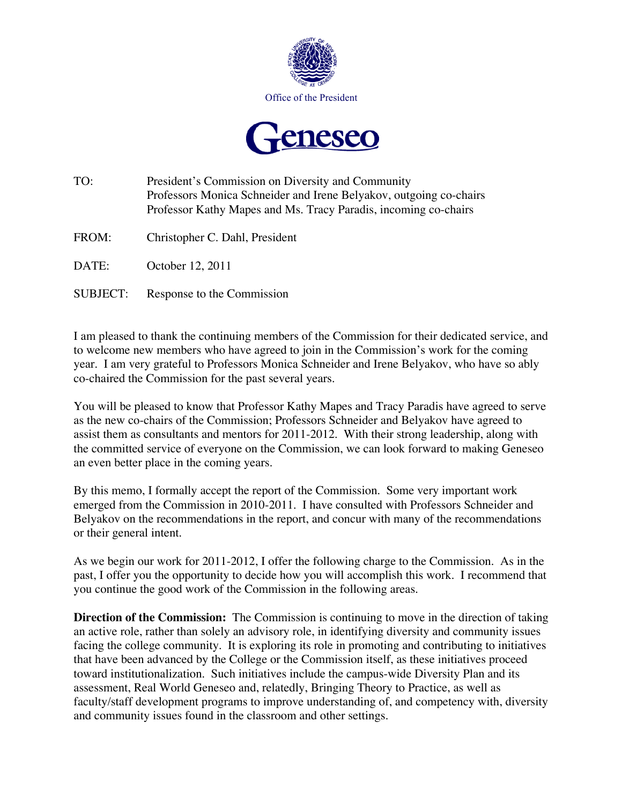



- TO: President's Commission on Diversity and Community Professors Monica Schneider and Irene Belyakov, outgoing co-chairs Professor Kathy Mapes and Ms. Tracy Paradis, incoming co-chairs
- FROM: Christopher C. Dahl, President
- DATE: October 12, 2011
- SUBJECT: Response to the Commission

I am pleased to thank the continuing members of the Commission for their dedicated service, and to welcome new members who have agreed to join in the Commission's work for the coming year. I am very grateful to Professors Monica Schneider and Irene Belyakov, who have so ably co-chaired the Commission for the past several years.

You will be pleased to know that Professor Kathy Mapes and Tracy Paradis have agreed to serve as the new co-chairs of the Commission; Professors Schneider and Belyakov have agreed to assist them as consultants and mentors for 2011-2012. With their strong leadership, along with the committed service of everyone on the Commission, we can look forward to making Geneseo an even better place in the coming years.

By this memo, I formally accept the report of the Commission. Some very important work emerged from the Commission in 2010-2011. I have consulted with Professors Schneider and Belyakov on the recommendations in the report, and concur with many of the recommendations or their general intent.

As we begin our work for 2011-2012, I offer the following charge to the Commission. As in the past, I offer you the opportunity to decide how you will accomplish this work. I recommend that you continue the good work of the Commission in the following areas.

**Direction of the Commission:** The Commission is continuing to move in the direction of taking an active role, rather than solely an advisory role, in identifying diversity and community issues facing the college community. It is exploring its role in promoting and contributing to initiatives that have been advanced by the College or the Commission itself, as these initiatives proceed toward institutionalization. Such initiatives include the campus-wide Diversity Plan and its assessment, Real World Geneseo and, relatedly, Bringing Theory to Practice, as well as faculty/staff development programs to improve understanding of, and competency with, diversity and community issues found in the classroom and other settings.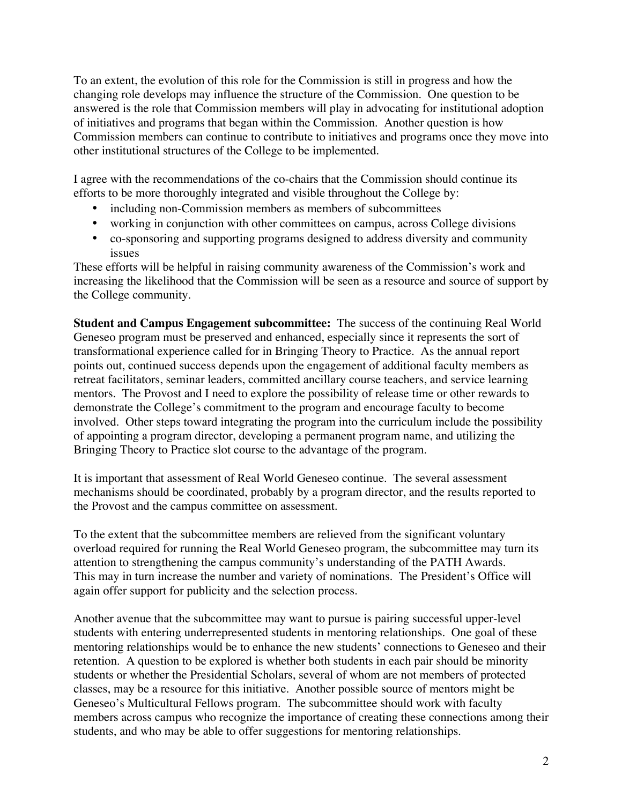To an extent, the evolution of this role for the Commission is still in progress and how the changing role develops may influence the structure of the Commission. One question to be answered is the role that Commission members will play in advocating for institutional adoption of initiatives and programs that began within the Commission. Another question is how Commission members can continue to contribute to initiatives and programs once they move into other institutional structures of the College to be implemented.

I agree with the recommendations of the co-chairs that the Commission should continue its efforts to be more thoroughly integrated and visible throughout the College by:

- including non-Commission members as members of subcommittees
- working in conjunction with other committees on campus, across College divisions
- co-sponsoring and supporting programs designed to address diversity and community issues

These efforts will be helpful in raising community awareness of the Commission's work and increasing the likelihood that the Commission will be seen as a resource and source of support by the College community.

**Student and Campus Engagement subcommittee:** The success of the continuing Real World Geneseo program must be preserved and enhanced, especially since it represents the sort of transformational experience called for in Bringing Theory to Practice. As the annual report points out, continued success depends upon the engagement of additional faculty members as retreat facilitators, seminar leaders, committed ancillary course teachers, and service learning mentors. The Provost and I need to explore the possibility of release time or other rewards to demonstrate the College's commitment to the program and encourage faculty to become involved. Other steps toward integrating the program into the curriculum include the possibility of appointing a program director, developing a permanent program name, and utilizing the Bringing Theory to Practice slot course to the advantage of the program.

It is important that assessment of Real World Geneseo continue. The several assessment mechanisms should be coordinated, probably by a program director, and the results reported to the Provost and the campus committee on assessment.

To the extent that the subcommittee members are relieved from the significant voluntary overload required for running the Real World Geneseo program, the subcommittee may turn its attention to strengthening the campus community's understanding of the PATH Awards. This may in turn increase the number and variety of nominations. The President's Office will again offer support for publicity and the selection process.

Another avenue that the subcommittee may want to pursue is pairing successful upper-level students with entering underrepresented students in mentoring relationships. One goal of these mentoring relationships would be to enhance the new students' connections to Geneseo and their retention. A question to be explored is whether both students in each pair should be minority students or whether the Presidential Scholars, several of whom are not members of protected classes, may be a resource for this initiative. Another possible source of mentors might be Geneseo's Multicultural Fellows program. The subcommittee should work with faculty members across campus who recognize the importance of creating these connections among their students, and who may be able to offer suggestions for mentoring relationships.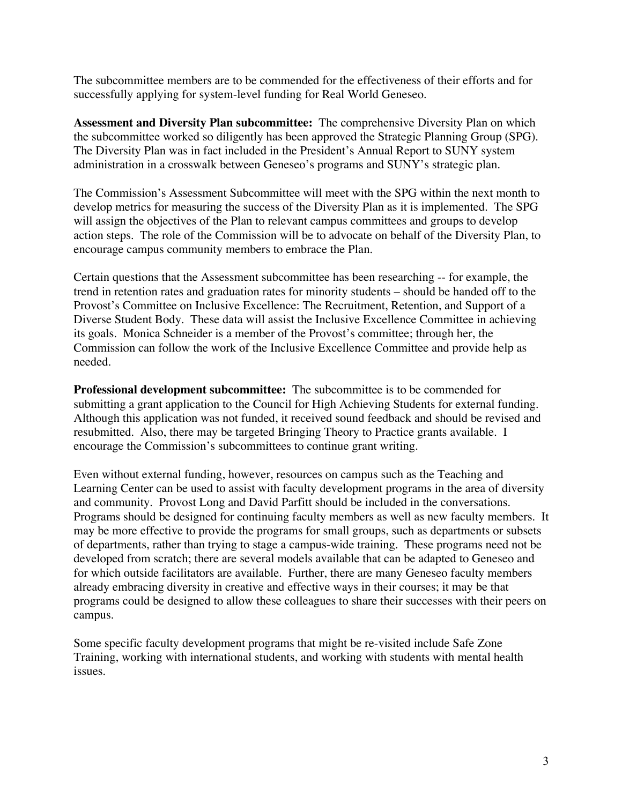The subcommittee members are to be commended for the effectiveness of their efforts and for successfully applying for system-level funding for Real World Geneseo.

**Assessment and Diversity Plan subcommittee:** The comprehensive Diversity Plan on which the subcommittee worked so diligently has been approved the Strategic Planning Group (SPG). The Diversity Plan was in fact included in the President's Annual Report to SUNY system administration in a crosswalk between Geneseo's programs and SUNY's strategic plan.

The Commission's Assessment Subcommittee will meet with the SPG within the next month to develop metrics for measuring the success of the Diversity Plan as it is implemented. The SPG will assign the objectives of the Plan to relevant campus committees and groups to develop action steps. The role of the Commission will be to advocate on behalf of the Diversity Plan, to encourage campus community members to embrace the Plan.

Certain questions that the Assessment subcommittee has been researching -- for example, the trend in retention rates and graduation rates for minority students – should be handed off to the Provost's Committee on Inclusive Excellence: The Recruitment, Retention, and Support of a Diverse Student Body. These data will assist the Inclusive Excellence Committee in achieving its goals. Monica Schneider is a member of the Provost's committee; through her, the Commission can follow the work of the Inclusive Excellence Committee and provide help as needed.

**Professional development subcommittee:** The subcommittee is to be commended for submitting a grant application to the Council for High Achieving Students for external funding. Although this application was not funded, it received sound feedback and should be revised and resubmitted. Also, there may be targeted Bringing Theory to Practice grants available. I encourage the Commission's subcommittees to continue grant writing.

Even without external funding, however, resources on campus such as the Teaching and Learning Center can be used to assist with faculty development programs in the area of diversity and community. Provost Long and David Parfitt should be included in the conversations. Programs should be designed for continuing faculty members as well as new faculty members. It may be more effective to provide the programs for small groups, such as departments or subsets of departments, rather than trying to stage a campus-wide training. These programs need not be developed from scratch; there are several models available that can be adapted to Geneseo and for which outside facilitators are available. Further, there are many Geneseo faculty members already embracing diversity in creative and effective ways in their courses; it may be that programs could be designed to allow these colleagues to share their successes with their peers on campus.

Some specific faculty development programs that might be re-visited include Safe Zone Training, working with international students, and working with students with mental health issues.